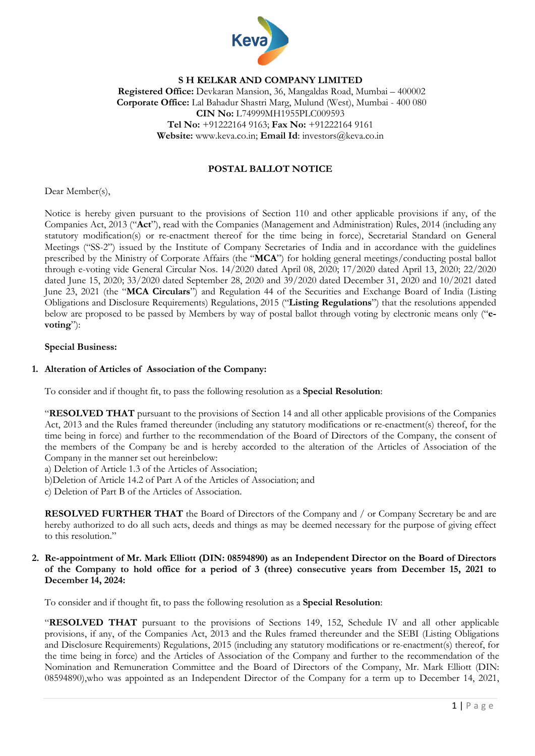

# S H KELKAR AND COMPANY LIMITED Registered Office: Devkaran Mansion, 36, Mangaldas Road, Mumbai – 400002 Corporate Office: Lal Bahadur Shastri Marg, Mulund (West), Mumbai - 400 080 CIN No: L74999MH1955PLC009593 Tel No: +91222164 9163; Fax No: +91222164 9161 Website: www.keva.co.in; Email Id: investors@keva.co.in

# POSTAL BALLOT NOTICE

Dear Member(s),

Notice is hereby given pursuant to the provisions of Section 110 and other applicable provisions if any, of the Companies Act, 2013 ("Act"), read with the Companies (Management and Administration) Rules, 2014 (including any statutory modification(s) or re-enactment thereof for the time being in force), Secretarial Standard on General Meetings ("SS-2") issued by the Institute of Company Secretaries of India and in accordance with the guidelines prescribed by the Ministry of Corporate Affairs (the "MCA") for holding general meetings/conducting postal ballot through e-voting vide General Circular Nos. 14/2020 dated April 08, 2020; 17/2020 dated April 13, 2020; 22/2020 dated June 15, 2020; 33/2020 dated September 28, 2020 and 39/2020 dated December 31, 2020 and 10/2021 dated June 23, 2021 (the "MCA Circulars") and Regulation 44 of the Securities and Exchange Board of India (Listing Obligations and Disclosure Requirements) Regulations, 2015 ("Listing Regulations") that the resolutions appended below are proposed to be passed by Members by way of postal ballot through voting by electronic means only ("evoting"):

#### Special Business:

#### 1. Alteration of Articles of Association of the Company:

To consider and if thought fit, to pass the following resolution as a Special Resolution:

"RESOLVED THAT pursuant to the provisions of Section 14 and all other applicable provisions of the Companies Act, 2013 and the Rules framed thereunder (including any statutory modifications or re-enactment(s) thereof, for the time being in force) and further to the recommendation of the Board of Directors of the Company, the consent of the members of the Company be and is hereby accorded to the alteration of the Articles of Association of the Company in the manner set out hereinbelow:

a) Deletion of Article 1.3 of the Articles of Association;

b)Deletion of Article 14.2 of Part A of the Articles of Association; and

c) Deletion of Part B of the Articles of Association.

RESOLVED FURTHER THAT the Board of Directors of the Company and / or Company Secretary be and are hereby authorized to do all such acts, deeds and things as may be deemed necessary for the purpose of giving effect to this resolution."

#### 2. Re-appointment of Mr. Mark Elliott (DIN: 08594890) as an Independent Director on the Board of Directors of the Company to hold office for a period of 3 (three) consecutive years from December 15, 2021 to December 14, 2024:

To consider and if thought fit, to pass the following resolution as a Special Resolution:

"RESOLVED THAT pursuant to the provisions of Sections 149, 152, Schedule IV and all other applicable provisions, if any, of the Companies Act, 2013 and the Rules framed thereunder and the SEBI (Listing Obligations and Disclosure Requirements) Regulations, 2015 (including any statutory modifications or re-enactment(s) thereof, for the time being in force) and the Articles of Association of the Company and further to the recommendation of the Nomination and Remuneration Committee and the Board of Directors of the Company, Mr. Mark Elliott (DIN: 08594890),who was appointed as an Independent Director of the Company for a term up to December 14, 2021,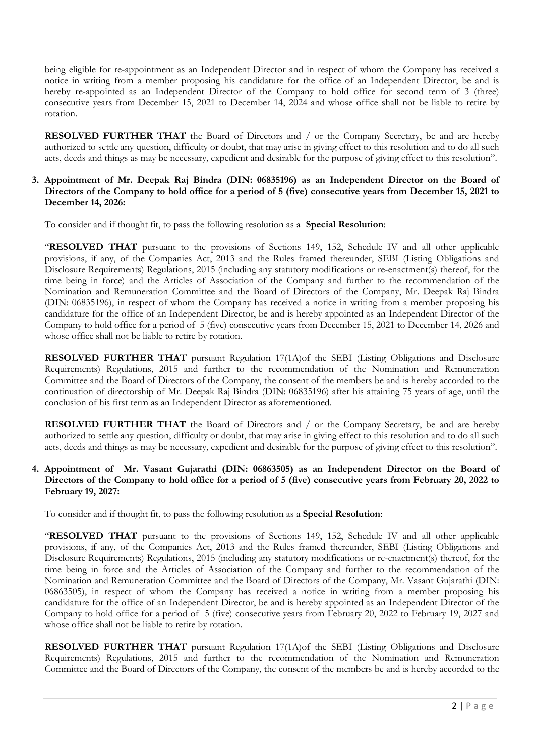being eligible for re-appointment as an Independent Director and in respect of whom the Company has received a notice in writing from a member proposing his candidature for the office of an Independent Director, be and is hereby re-appointed as an Independent Director of the Company to hold office for second term of 3 (three) consecutive years from December 15, 2021 to December 14, 2024 and whose office shall not be liable to retire by rotation.

RESOLVED FURTHER THAT the Board of Directors and / or the Company Secretary, be and are hereby authorized to settle any question, difficulty or doubt, that may arise in giving effect to this resolution and to do all such acts, deeds and things as may be necessary, expedient and desirable for the purpose of giving effect to this resolution".

## 3. Appointment of Mr. Deepak Raj Bindra (DIN: 06835196) as an Independent Director on the Board of Directors of the Company to hold office for a period of 5 (five) consecutive years from December 15, 2021 to December 14, 2026:

To consider and if thought fit, to pass the following resolution as a Special Resolution:

"RESOLVED THAT pursuant to the provisions of Sections 149, 152, Schedule IV and all other applicable provisions, if any, of the Companies Act, 2013 and the Rules framed thereunder, SEBI (Listing Obligations and Disclosure Requirements) Regulations, 2015 (including any statutory modifications or re-enactment(s) thereof, for the time being in force) and the Articles of Association of the Company and further to the recommendation of the Nomination and Remuneration Committee and the Board of Directors of the Company, Mr. Deepak Raj Bindra (DIN: 06835196), in respect of whom the Company has received a notice in writing from a member proposing his candidature for the office of an Independent Director, be and is hereby appointed as an Independent Director of the Company to hold office for a period of 5 (five) consecutive years from December 15, 2021 to December 14, 2026 and whose office shall not be liable to retire by rotation.

RESOLVED FURTHER THAT pursuant Regulation 17(1A)of the SEBI (Listing Obligations and Disclosure Requirements) Regulations, 2015 and further to the recommendation of the Nomination and Remuneration Committee and the Board of Directors of the Company, the consent of the members be and is hereby accorded to the continuation of directorship of Mr. Deepak Raj Bindra (DIN: 06835196) after his attaining 75 years of age, until the conclusion of his first term as an Independent Director as aforementioned.

RESOLVED FURTHER THAT the Board of Directors and / or the Company Secretary, be and are hereby authorized to settle any question, difficulty or doubt, that may arise in giving effect to this resolution and to do all such acts, deeds and things as may be necessary, expedient and desirable for the purpose of giving effect to this resolution".

## 4. Appointment of Mr. Vasant Gujarathi (DIN: 06863505) as an Independent Director on the Board of Directors of the Company to hold office for a period of 5 (five) consecutive years from February 20, 2022 to February 19, 2027:

To consider and if thought fit, to pass the following resolution as a Special Resolution:

"RESOLVED THAT pursuant to the provisions of Sections 149, 152, Schedule IV and all other applicable provisions, if any, of the Companies Act, 2013 and the Rules framed thereunder, SEBI (Listing Obligations and Disclosure Requirements) Regulations, 2015 (including any statutory modifications or re-enactment(s) thereof, for the time being in force and the Articles of Association of the Company and further to the recommendation of the Nomination and Remuneration Committee and the Board of Directors of the Company, Mr. Vasant Gujarathi (DIN: 06863505), in respect of whom the Company has received a notice in writing from a member proposing his candidature for the office of an Independent Director, be and is hereby appointed as an Independent Director of the Company to hold office for a period of 5 (five) consecutive years from February 20, 2022 to February 19, 2027 and whose office shall not be liable to retire by rotation.

RESOLVED FURTHER THAT pursuant Regulation 17(1A)of the SEBI (Listing Obligations and Disclosure Requirements) Regulations, 2015 and further to the recommendation of the Nomination and Remuneration Committee and the Board of Directors of the Company, the consent of the members be and is hereby accorded to the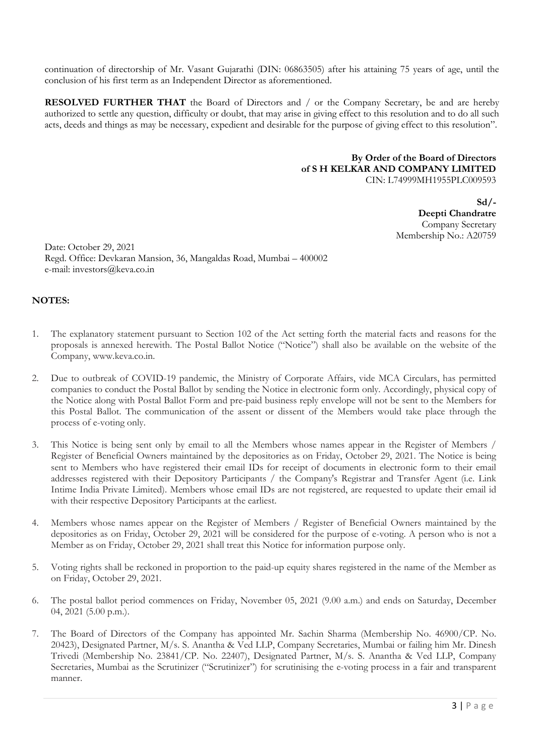continuation of directorship of Mr. Vasant Gujarathi (DIN: 06863505) after his attaining 75 years of age, until the conclusion of his first term as an Independent Director as aforementioned.

RESOLVED FURTHER THAT the Board of Directors and / or the Company Secretary, be and are hereby authorized to settle any question, difficulty or doubt, that may arise in giving effect to this resolution and to do all such acts, deeds and things as may be necessary, expedient and desirable for the purpose of giving effect to this resolution".

#### By Order of the Board of Directors of S H KELKAR AND COMPANY LIMITED CIN: L74999MH1955PLC009593

 $Sd/$ -Deepti Chandratre Company Secretary Membership No.: A20759

Date: October 29, 2021 Regd. Office: Devkaran Mansion, 36, Mangaldas Road, Mumbai – 400002 e-mail: investors@keva.co.in

# NOTES:

- 1. The explanatory statement pursuant to Section 102 of the Act setting forth the material facts and reasons for the proposals is annexed herewith. The Postal Ballot Notice ("Notice") shall also be available on the website of the Company, www.keva.co.in.
- 2. Due to outbreak of COVID-19 pandemic, the Ministry of Corporate Affairs, vide MCA Circulars, has permitted companies to conduct the Postal Ballot by sending the Notice in electronic form only. Accordingly, physical copy of the Notice along with Postal Ballot Form and pre-paid business reply envelope will not be sent to the Members for this Postal Ballot. The communication of the assent or dissent of the Members would take place through the process of e-voting only.
- 3. This Notice is being sent only by email to all the Members whose names appear in the Register of Members / Register of Beneficial Owners maintained by the depositories as on Friday, October 29, 2021. The Notice is being sent to Members who have registered their email IDs for receipt of documents in electronic form to their email addresses registered with their Depository Participants / the Company's Registrar and Transfer Agent (i.e. Link Intime India Private Limited). Members whose email IDs are not registered, are requested to update their email id with their respective Depository Participants at the earliest.
- 4. Members whose names appear on the Register of Members / Register of Beneficial Owners maintained by the depositories as on Friday, October 29, 2021 will be considered for the purpose of e-voting. A person who is not a Member as on Friday, October 29, 2021 shall treat this Notice for information purpose only.
- 5. Voting rights shall be reckoned in proportion to the paid-up equity shares registered in the name of the Member as on Friday, October 29, 2021.
- 6. The postal ballot period commences on Friday, November 05, 2021 (9.00 a.m.) and ends on Saturday, December 04, 2021 (5.00 p.m.).
- 7. The Board of Directors of the Company has appointed Mr. Sachin Sharma (Membership No. 46900/CP. No. 20423), Designated Partner, M/s. S. Anantha & Ved LLP, Company Secretaries, Mumbai or failing him Mr. Dinesh Trivedi (Membership No. 23841/CP. No. 22407), Designated Partner, M/s. S. Anantha & Ved LLP, Company Secretaries, Mumbai as the Scrutinizer ("Scrutinizer") for scrutinising the e-voting process in a fair and transparent manner.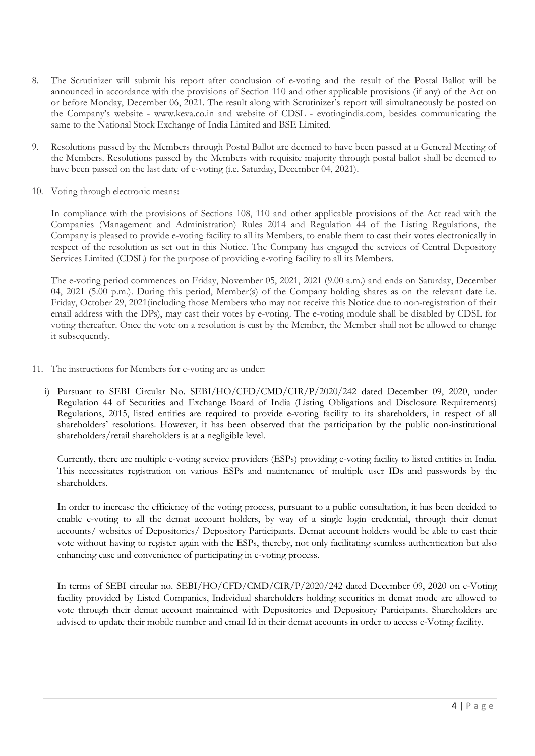- 8. The Scrutinizer will submit his report after conclusion of e-voting and the result of the Postal Ballot will be announced in accordance with the provisions of Section 110 and other applicable provisions (if any) of the Act on or before Monday, December 06, 2021. The result along with Scrutinizer's report will simultaneously be posted on the Company's website - www.keva.co.in and website of CDSL - evotingindia.com, besides communicating the same to the National Stock Exchange of India Limited and BSE Limited.
- 9. Resolutions passed by the Members through Postal Ballot are deemed to have been passed at a General Meeting of the Members. Resolutions passed by the Members with requisite majority through postal ballot shall be deemed to have been passed on the last date of e-voting (i.e. Saturday, December 04, 2021).
- 10. Voting through electronic means:

In compliance with the provisions of Sections 108, 110 and other applicable provisions of the Act read with the Companies (Management and Administration) Rules 2014 and Regulation 44 of the Listing Regulations, the Company is pleased to provide e-voting facility to all its Members, to enable them to cast their votes electronically in respect of the resolution as set out in this Notice. The Company has engaged the services of Central Depository Services Limited (CDSL) for the purpose of providing e-voting facility to all its Members.

The e-voting period commences on Friday, November 05, 2021, 2021 (9.00 a.m.) and ends on Saturday, December 04, 2021 (5.00 p.m.). During this period, Member(s) of the Company holding shares as on the relevant date i.e. Friday, October 29, 2021(including those Members who may not receive this Notice due to non-registration of their email address with the DPs), may cast their votes by e-voting. The e-voting module shall be disabled by CDSL for voting thereafter. Once the vote on a resolution is cast by the Member, the Member shall not be allowed to change it subsequently.

- 11. The instructions for Members for e-voting are as under:
	- i) Pursuant to SEBI Circular No. SEBI/HO/CFD/CMD/CIR/P/2020/242 dated December 09, 2020, under Regulation 44 of Securities and Exchange Board of India (Listing Obligations and Disclosure Requirements) Regulations, 2015, listed entities are required to provide e-voting facility to its shareholders, in respect of all shareholders' resolutions. However, it has been observed that the participation by the public non-institutional shareholders/retail shareholders is at a negligible level.

Currently, there are multiple e-voting service providers (ESPs) providing e-voting facility to listed entities in India. This necessitates registration on various ESPs and maintenance of multiple user IDs and passwords by the shareholders.

In order to increase the efficiency of the voting process, pursuant to a public consultation, it has been decided to enable e-voting to all the demat account holders, by way of a single login credential, through their demat accounts/ websites of Depositories/ Depository Participants. Demat account holders would be able to cast their vote without having to register again with the ESPs, thereby, not only facilitating seamless authentication but also enhancing ease and convenience of participating in e-voting process.

In terms of SEBI circular no. SEBI/HO/CFD/CMD/CIR/P/2020/242 dated December 09, 2020 on e-Voting facility provided by Listed Companies, Individual shareholders holding securities in demat mode are allowed to vote through their demat account maintained with Depositories and Depository Participants. Shareholders are advised to update their mobile number and email Id in their demat accounts in order to access e-Voting facility.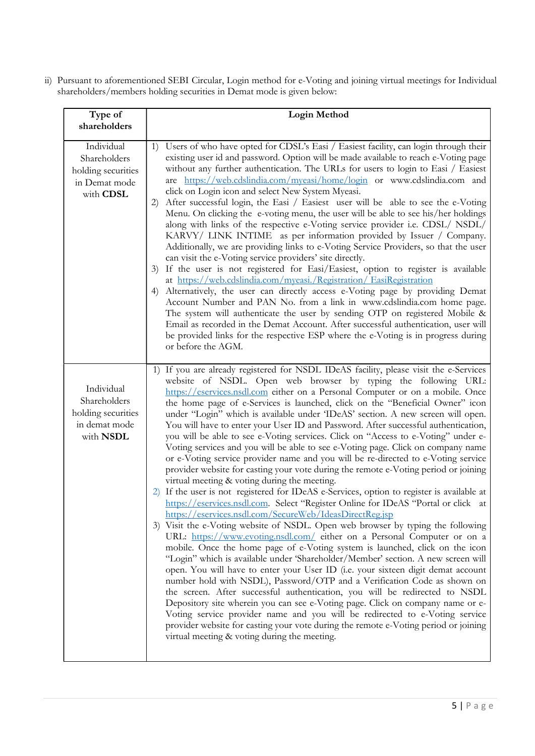ii) Pursuant to aforementioned SEBI Circular, Login method for e-Voting and joining virtual meetings for Individual shareholders/members holding securities in Demat mode is given below:

| Type of                                                                        | <b>Login Method</b>                                                                                                                                                                                                                                                                                                                                                                                                                                                                                                                                                                                                                                                                                                                                                                                                                                                                                                                                                                                                                                                                                                                                                                                                                                                                                                                                                                                                                                                                                                                                                                                                                                                                                                                                                                                                                                                                                                                                                                                                                         |
|--------------------------------------------------------------------------------|---------------------------------------------------------------------------------------------------------------------------------------------------------------------------------------------------------------------------------------------------------------------------------------------------------------------------------------------------------------------------------------------------------------------------------------------------------------------------------------------------------------------------------------------------------------------------------------------------------------------------------------------------------------------------------------------------------------------------------------------------------------------------------------------------------------------------------------------------------------------------------------------------------------------------------------------------------------------------------------------------------------------------------------------------------------------------------------------------------------------------------------------------------------------------------------------------------------------------------------------------------------------------------------------------------------------------------------------------------------------------------------------------------------------------------------------------------------------------------------------------------------------------------------------------------------------------------------------------------------------------------------------------------------------------------------------------------------------------------------------------------------------------------------------------------------------------------------------------------------------------------------------------------------------------------------------------------------------------------------------------------------------------------------------|
| shareholders                                                                   |                                                                                                                                                                                                                                                                                                                                                                                                                                                                                                                                                                                                                                                                                                                                                                                                                                                                                                                                                                                                                                                                                                                                                                                                                                                                                                                                                                                                                                                                                                                                                                                                                                                                                                                                                                                                                                                                                                                                                                                                                                             |
| Individual<br>Shareholders<br>holding securities<br>in Demat mode<br>with CDSL | Users of who have opted for CDSL's Easi / Easiest facility, can login through their<br>1)<br>existing user id and password. Option will be made available to reach e-Voting page<br>without any further authentication. The URLs for users to login to Easi / Easiest<br>are https://web.cdslindia.com/myeasi/home/login or www.cdslindia.com and<br>click on Login icon and select New System Myeasi.<br>After successful login, the Easi / Easiest user will be able to see the e-Voting<br>2)<br>Menu. On clicking the e-voting menu, the user will be able to see his/her holdings<br>along with links of the respective e-Voting service provider i.e. CDSL/ NSDL/<br>KARVY/ LINK INTIME as per information provided by Issuer / Company.<br>Additionally, we are providing links to e-Voting Service Providers, so that the user<br>can visit the e-Voting service providers' site directly.<br>If the user is not registered for Easi/Easiest, option to register is available<br>3)<br>at https://web.cdslindia.com/myeasi./Registration/ EasiRegistration<br>Alternatively, the user can directly access e-Voting page by providing Demat<br>4)<br>Account Number and PAN No. from a link in www.cdslindia.com home page.<br>The system will authenticate the user by sending OTP on registered Mobile &<br>Email as recorded in the Demat Account. After successful authentication, user will<br>be provided links for the respective ESP where the e-Voting is in progress during<br>or before the AGM.                                                                                                                                                                                                                                                                                                                                                                                                                                                                                                                          |
| Individual<br>Shareholders<br>holding securities<br>in demat mode<br>with NSDL | 1) If you are already registered for NSDL IDeAS facility, please visit the e-Services<br>website of NSDL. Open web browser by typing the following URL:<br>https://eservices.nsdl.com either on a Personal Computer or on a mobile. Once<br>the home page of e-Services is launched, click on the "Beneficial Owner" icon<br>under "Login" which is available under 'IDeAS' section. A new screen will open.<br>You will have to enter your User ID and Password. After successful authentication,<br>you will be able to see e-Voting services. Click on "Access to e-Voting" under e-<br>Voting services and you will be able to see e-Voting page. Click on company name<br>or e-Voting service provider name and you will be re-directed to e-Voting service<br>provider website for casting your vote during the remote e-Voting period or joining<br>virtual meeting & voting during the meeting.<br>If the user is not registered for IDeAS e-Services, option to register is available at<br>https://eservices.nsdl.com. Select "Register Online for IDeAS "Portal or click at<br>https://eservices.nsdl.com/SecureWeb/IdeasDirectReg.jsp<br>3) Visit the e-Voting website of NSDL. Open web browser by typing the following<br>URL: https://www.evoting.nsdl.com/ either on a Personal Computer or on a<br>mobile. Once the home page of e-Voting system is launched, click on the icon<br>"Login" which is available under 'Shareholder/Member' section. A new screen will<br>open. You will have to enter your User ID (i.e. your sixteen digit demat account<br>number hold with NSDL), Password/OTP and a Verification Code as shown on<br>the screen. After successful authentication, you will be redirected to NSDL<br>Depository site wherein you can see e-Voting page. Click on company name or e-<br>Voting service provider name and you will be redirected to e-Voting service<br>provider website for casting your vote during the remote e-Voting period or joining<br>virtual meeting & voting during the meeting. |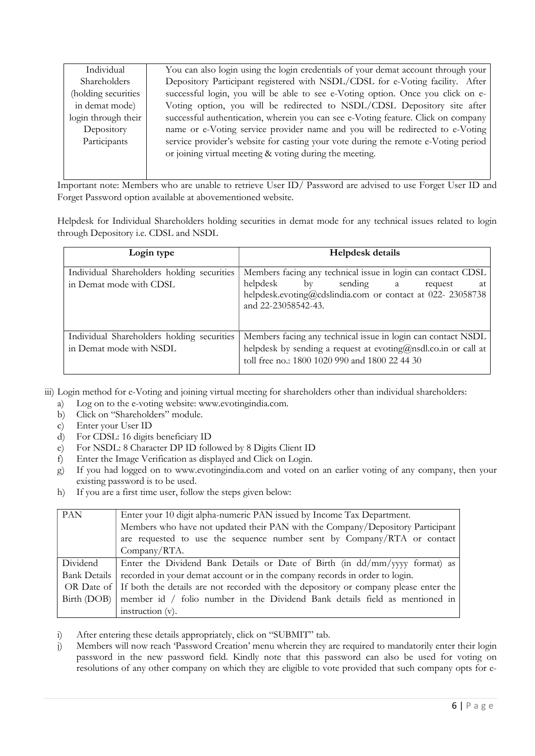| Individual          | You can also login using the login credentials of your demat account through your  |
|---------------------|------------------------------------------------------------------------------------|
| Shareholders        | Depository Participant registered with NSDL/CDSL for e-Voting facility. After      |
| (holding securities | successful login, you will be able to see e-Voting option. Once you click on e-    |
| in demat mode)      | Voting option, you will be redirected to NSDL/CDSL Depository site after           |
| login through their | successful authentication, wherein you can see e-Voting feature. Click on company  |
| Depository          | name or e-Voting service provider name and you will be redirected to e-Voting      |
| Participants        | service provider's website for casting your vote during the remote e-Voting period |
|                     | or joining virtual meeting & voting during the meeting.                            |
|                     |                                                                                    |

Important note: Members who are unable to retrieve User ID/ Password are advised to use Forget User ID and Forget Password option available at abovementioned website.

Helpdesk for Individual Shareholders holding securities in demat mode for any technical issues related to login through Depository i.e. CDSL and NSDL

| Login type                                                            | <b>Helpdesk details</b>                                                                                                                                                                                       |  |  |
|-----------------------------------------------------------------------|---------------------------------------------------------------------------------------------------------------------------------------------------------------------------------------------------------------|--|--|
| Individual Shareholders holding securities<br>in Demat mode with CDSL | Members facing any technical issue in login can contact CDSL<br>helpdesk<br>$\mathbf{b}$ v<br>sending a<br>request<br>at<br>helpdesk.evoting@cdslindia.com or contact at 022- 23058738<br>and 22-23058542-43. |  |  |
| Individual Shareholders holding securities<br>in Demat mode with NSDL | Members facing any technical issue in login can contact NSDL<br>helpdesk by sending a request at evoting@nsdl.co.in or call at<br>toll free no.: 1800 1020 990 and 1800 22 44 30                              |  |  |

iii) Login method for e-Voting and joining virtual meeting for shareholders other than individual shareholders:

- a) Log on to the e-voting website: www.evotingindia.com.
- b) Click on "Shareholders" module.
- c) Enter your User ID
- d) For CDSL: 16 digits beneficiary ID
- e) For NSDL: 8 Character DP ID followed by 8 Digits Client ID
- f) Enter the Image Verification as displayed and Click on Login.
- g) If you had logged on to www.evotingindia.com and voted on an earlier voting of any company, then your existing password is to be used.
- h) If you are a first time user, follow the steps given below:

| PAN           | Enter your 10 digit alpha-numeric PAN issued by Income Tax Department.                          |  |  |
|---------------|-------------------------------------------------------------------------------------------------|--|--|
|               | Members who have not updated their PAN with the Company/Depository Participant                  |  |  |
|               | are requested to use the sequence number sent by Company/RTA or contact                         |  |  |
|               | $Company/RTA$ .                                                                                 |  |  |
| Dividend      | Enter the Dividend Bank Details or Date of Birth (in dd/mm/yyyy format) as                      |  |  |
| Bank Details  | recorded in your demat account or in the company records in order to login.                     |  |  |
|               | OR Date of If both the details are not recorded with the depository or company please enter the |  |  |
| Birth $(DOB)$ | member id / folio number in the Dividend Bank details field as mentioned in                     |  |  |
|               | instruction (v).                                                                                |  |  |

- i) After entering these details appropriately, click on "SUBMIT" tab.
- j) Members will now reach 'Password Creation' menu wherein they are required to mandatorily enter their login password in the new password field. Kindly note that this password can also be used for voting on resolutions of any other company on which they are eligible to vote provided that such company opts for e-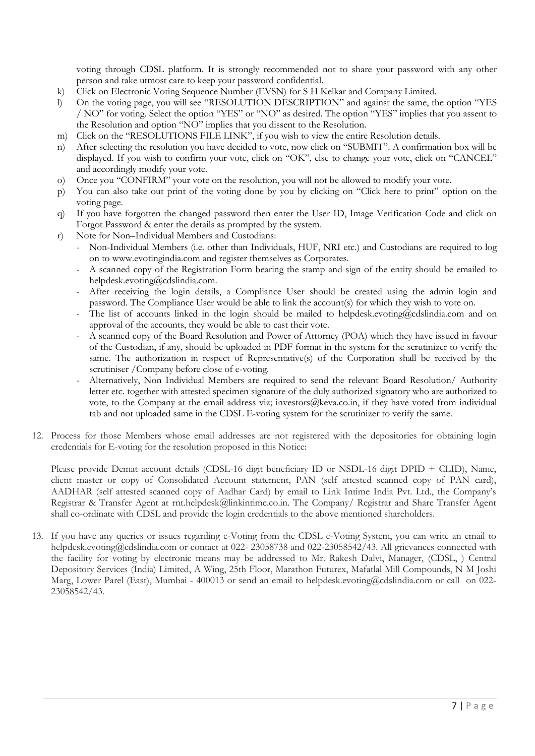voting through CDSL platform. It is strongly recommended not to share your password with any other person and take utmost care to keep your password confidential.

- k) Click on Electronic Voting Sequence Number (EVSN) for S H Kelkar and Company Limited.
- l) On the voting page, you will see "RESOLUTION DESCRIPTION" and against the same, the option "YES / NO" for voting. Select the option "YES" or "NO" as desired. The option "YES" implies that you assent to the Resolution and option "NO" implies that you dissent to the Resolution.
- m) Click on the "RESOLUTIONS FILE LINK", if you wish to view the entire Resolution details.
- n) After selecting the resolution you have decided to vote, now click on "SUBMIT". A confirmation box will be displayed. If you wish to confirm your vote, click on "OK", else to change your vote, click on "CANCEL" and accordingly modify your vote.
- o) Once you "CONFIRM" your vote on the resolution, you will not be allowed to modify your vote.
- p) You can also take out print of the voting done by you by clicking on "Click here to print" option on the voting page.
- q) If you have forgotten the changed password then enter the User ID, Image Verification Code and click on Forgot Password & enter the details as prompted by the system.
- r) Note for Non–Individual Members and Custodians:
	- Non-Individual Members (i.e. other than Individuals, HUF, NRI etc.) and Custodians are required to log on to www.evotingindia.com and register themselves as Corporates.
	- A scanned copy of the Registration Form bearing the stamp and sign of the entity should be emailed to helpdesk.evoting@cdslindia.com.
	- After receiving the login details, a Compliance User should be created using the admin login and password. The Compliance User would be able to link the account(s) for which they wish to vote on.
	- The list of accounts linked in the login should be mailed to helpdesk.evoting@cdslindia.com and on approval of the accounts, they would be able to cast their vote.
	- A scanned copy of the Board Resolution and Power of Attorney (POA) which they have issued in favour of the Custodian, if any, should be uploaded in PDF format in the system for the scrutinizer to verify the same. The authorization in respect of Representative(s) of the Corporation shall be received by the scrutiniser /Company before close of e-voting.
	- Alternatively, Non Individual Members are required to send the relevant Board Resolution/ Authority letter etc. together with attested specimen signature of the duly authorized signatory who are authorized to vote, to the Company at the email address viz; investors@keva.co.in, if they have voted from individual tab and not uploaded same in the CDSL E-voting system for the scrutinizer to verify the same.
- 12. Process for those Members whose email addresses are not registered with the depositories for obtaining login credentials for E-voting for the resolution proposed in this Notice:

Please provide Demat account details (CDSL-16 digit beneficiary ID or NSDL-16 digit DPID + CLID), Name, client master or copy of Consolidated Account statement, PAN (self attested scanned copy of PAN card), AADHAR (self attested scanned copy of Aadhar Card) by email to Link Intime India Pvt. Ltd., the Company's Registrar & Transfer Agent at rnt.helpdesk@linkintime.co.in. The Company/ Registrar and Share Transfer Agent shall co-ordinate with CDSL and provide the login credentials to the above mentioned shareholders.

13. If you have any queries or issues regarding e-Voting from the CDSL e-Voting System, you can write an email to helpdesk.evoting@cdslindia.com or contact at 022- 23058738 and 022-23058542/43. All grievances connected with the facility for voting by electronic means may be addressed to Mr. Rakesh Dalvi, Manager, (CDSL, ) Central Depository Services (India) Limited, A Wing, 25th Floor, Marathon Futurex, Mafatlal Mill Compounds, N M Joshi Marg, Lower Parel (East), Mumbai - 400013 or send an email to helpdesk.evoting@cdslindia.com or call on 022- 23058542/43.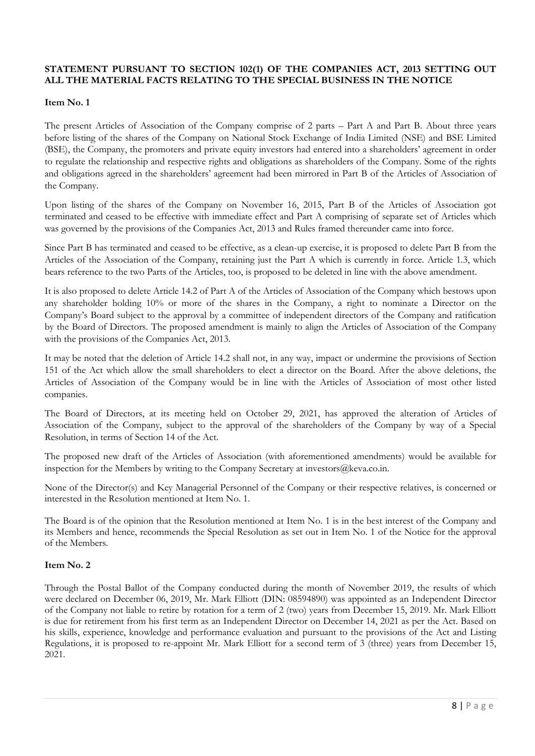# STATEMENT PURSUANT TO SECTION 102(1) OF THE COMPANIES ACT, 2013 SETTING OUT ALL THE MATERIAL FACTS RELATING TO THE SPECIAL BUSINESS IN THE NOTICE

## Item No. 1

The present Articles of Association of the Company comprise of 2 parts – Part A and Part B. About three years before listing of the shares of the Company on National Stock Exchange of India Limited (NSE) and BSE Limited (BSE), the Company, the promoters and private equity investors had entered into a shareholders' agreement in order to regulate the relationship and respective rights and obligations as shareholders of the Company. Some of the rights and obligations agreed in the shareholders' agreement had been mirrored in Part B of the Articles of Association of the Company.

Upon listing of the shares of the Company on November 16, 2015, Part B of the Articles of Association got terminated and ceased to be effective with immediate effect and Part A comprising of separate set of Articles which was governed by the provisions of the Companies Act, 2013 and Rules framed thereunder came into force.

Since Part B has terminated and ceased to be effective, as a clean-up exercise, it is proposed to delete Part B from the Articles of the Association of the Company, retaining just the Part A which is currently in force. Article 1.3, which bears reference to the two Parts of the Articles, too, is proposed to be deleted in line with the above amendment.

It is also proposed to delete Article 14.2 of Part A of the Articles of Association of the Company which bestows upon any shareholder holding 10% or more of the shares in the Company, a right to nominate a Director on the Company's Board subject to the approval by a committee of independent directors of the Company and ratification by the Board of Directors. The proposed amendment is mainly to align the Articles of Association of the Company with the provisions of the Companies Act, 2013.

It may be noted that the deletion of Article 14.2 shall not, in any way, impact or undermine the provisions of Section 151 of the Act which allow the small shareholders to elect a director on the Board. After the above deletions, the Articles of Association of the Company would be in line with the Articles of Association of most other listed companies.

The Board of Directors, at its meeting held on October 29, 2021, has approved the alteration of Articles of Association of the Company, subject to the approval of the shareholders of the Company by way of a Special Resolution, in terms of Section 14 of the Act.

The proposed new draft of the Articles of Association (with aforementioned amendments) would be available for inspection for the Members by writing to the Company Secretary at investors@keva.co.in.

None of the Director(s) and Key Managerial Personnel of the Company or their respective relatives, is concerned or interested in the Resolution mentioned at Item No. 1.

The Board is of the opinion that the Resolution mentioned at Item No. 1 is in the best interest of the Company and its Members and hence, recommends the Special Resolution as set out in Item No. 1 of the Notice for the approval of the Members.

## Item No. 2

Through the Postal Ballot of the Company conducted during the month of November 2019, the results of which were declared on December 06, 2019, Mr. Mark Elliott (DIN: 08594890) was appointed as an Independent Director of the Company not liable to retire by rotation for a term of 2 (two) years from December 15, 2019. Mr. Mark Elliott is due for retirement from his first term as an Independent Director on December 14, 2021 as per the Act. Based on his skills, experience, knowledge and performance evaluation and pursuant to the provisions of the Act and Listing Regulations, it is proposed to re-appoint Mr. Mark Elliott for a second term of 3 (three) years from December 15, 2021.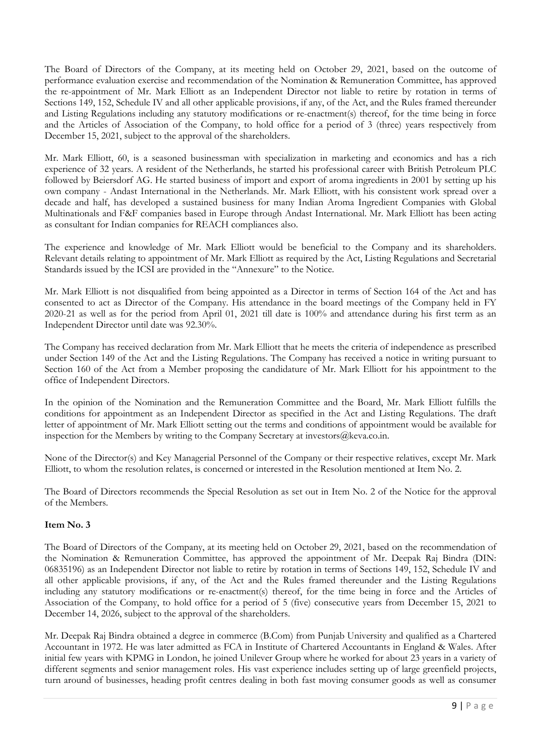The Board of Directors of the Company, at its meeting held on October 29, 2021, based on the outcome of performance evaluation exercise and recommendation of the Nomination & Remuneration Committee, has approved the re-appointment of Mr. Mark Elliott as an Independent Director not liable to retire by rotation in terms of Sections 149, 152, Schedule IV and all other applicable provisions, if any, of the Act, and the Rules framed thereunder and Listing Regulations including any statutory modifications or re-enactment(s) thereof, for the time being in force and the Articles of Association of the Company, to hold office for a period of 3 (three) years respectively from December 15, 2021, subject to the approval of the shareholders.

Mr. Mark Elliott, 60, is a seasoned businessman with specialization in marketing and economics and has a rich experience of 32 years. A resident of the Netherlands, he started his professional career with British Petroleum PLC followed by Beiersdorf AG. He started business of import and export of aroma ingredients in 2001 by setting up his own company - Andast International in the Netherlands. Mr. Mark Elliott, with his consistent work spread over a decade and half, has developed a sustained business for many Indian Aroma Ingredient Companies with Global Multinationals and F&F companies based in Europe through Andast International. Mr. Mark Elliott has been acting as consultant for Indian companies for REACH compliances also.

The experience and knowledge of Mr. Mark Elliott would be beneficial to the Company and its shareholders. Relevant details relating to appointment of Mr. Mark Elliott as required by the Act, Listing Regulations and Secretarial Standards issued by the ICSI are provided in the "Annexure" to the Notice.

Mr. Mark Elliott is not disqualified from being appointed as a Director in terms of Section 164 of the Act and has consented to act as Director of the Company. His attendance in the board meetings of the Company held in FY 2020-21 as well as for the period from April 01, 2021 till date is 100% and attendance during his first term as an Independent Director until date was 92.30%.

The Company has received declaration from Mr. Mark Elliott that he meets the criteria of independence as prescribed under Section 149 of the Act and the Listing Regulations. The Company has received a notice in writing pursuant to Section 160 of the Act from a Member proposing the candidature of Mr. Mark Elliott for his appointment to the office of Independent Directors.

In the opinion of the Nomination and the Remuneration Committee and the Board, Mr. Mark Elliott fulfills the conditions for appointment as an Independent Director as specified in the Act and Listing Regulations. The draft letter of appointment of Mr. Mark Elliott setting out the terms and conditions of appointment would be available for inspection for the Members by writing to the Company Secretary at investors@keva.co.in.

None of the Director(s) and Key Managerial Personnel of the Company or their respective relatives, except Mr. Mark Elliott, to whom the resolution relates, is concerned or interested in the Resolution mentioned at Item No. 2.

The Board of Directors recommends the Special Resolution as set out in Item No. 2 of the Notice for the approval of the Members.

## Item No. 3

The Board of Directors of the Company, at its meeting held on October 29, 2021, based on the recommendation of the Nomination & Remuneration Committee, has approved the appointment of Mr. Deepak Raj Bindra (DIN: 06835196) as an Independent Director not liable to retire by rotation in terms of Sections 149, 152, Schedule IV and all other applicable provisions, if any, of the Act and the Rules framed thereunder and the Listing Regulations including any statutory modifications or re-enactment(s) thereof, for the time being in force and the Articles of Association of the Company, to hold office for a period of 5 (five) consecutive years from December 15, 2021 to December 14, 2026, subject to the approval of the shareholders.

Mr. Deepak Raj Bindra obtained a degree in commerce (B.Com) from Punjab University and qualified as a Chartered Accountant in 1972. He was later admitted as FCA in Institute of Chartered Accountants in England & Wales. After initial few years with KPMG in London, he joined Unilever Group where he worked for about 23 years in a variety of different segments and senior management roles. His vast experience includes setting up of large greenfield projects, turn around of businesses, heading profit centres dealing in both fast moving consumer goods as well as consumer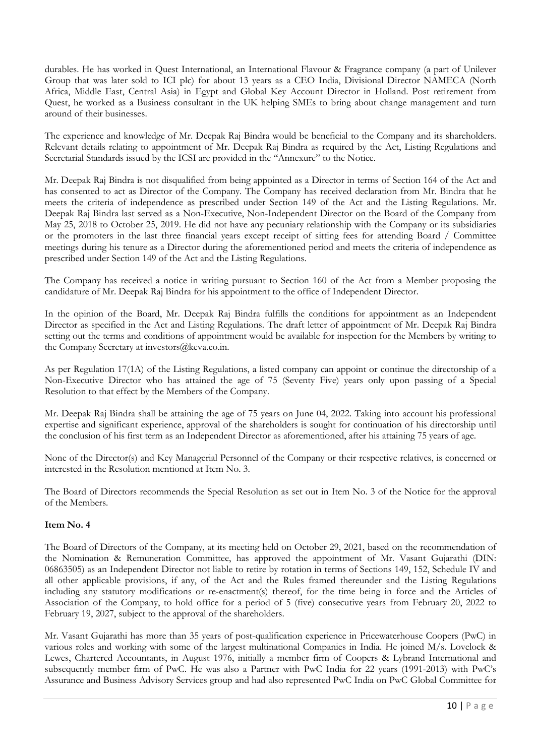durables. He has worked in Quest International, an International Flavour & Fragrance company (a part of Unilever Group that was later sold to ICI plc) for about 13 years as a CEO India, Divisional Director NAMECA (North Africa, Middle East, Central Asia) in Egypt and Global Key Account Director in Holland. Post retirement from Quest, he worked as a Business consultant in the UK helping SMEs to bring about change management and turn around of their businesses.

The experience and knowledge of Mr. Deepak Raj Bindra would be beneficial to the Company and its shareholders. Relevant details relating to appointment of Mr. Deepak Raj Bindra as required by the Act, Listing Regulations and Secretarial Standards issued by the ICSI are provided in the "Annexure" to the Notice.

Mr. Deepak Raj Bindra is not disqualified from being appointed as a Director in terms of Section 164 of the Act and has consented to act as Director of the Company. The Company has received declaration from Mr. Bindra that he meets the criteria of independence as prescribed under Section 149 of the Act and the Listing Regulations. Mr. Deepak Raj Bindra last served as a Non-Executive, Non-Independent Director on the Board of the Company from May 25, 2018 to October 25, 2019. He did not have any pecuniary relationship with the Company or its subsidiaries or the promoters in the last three financial years except receipt of sitting fees for attending Board / Committee meetings during his tenure as a Director during the aforementioned period and meets the criteria of independence as prescribed under Section 149 of the Act and the Listing Regulations.

The Company has received a notice in writing pursuant to Section 160 of the Act from a Member proposing the candidature of Mr. Deepak Raj Bindra for his appointment to the office of Independent Director.

In the opinion of the Board, Mr. Deepak Raj Bindra fulfills the conditions for appointment as an Independent Director as specified in the Act and Listing Regulations. The draft letter of appointment of Mr. Deepak Raj Bindra setting out the terms and conditions of appointment would be available for inspection for the Members by writing to the Company Secretary at investors@keva.co.in.

As per Regulation 17(1A) of the Listing Regulations, a listed company can appoint or continue the directorship of a Non-Executive Director who has attained the age of 75 (Seventy Five) years only upon passing of a Special Resolution to that effect by the Members of the Company.

Mr. Deepak Raj Bindra shall be attaining the age of 75 years on June 04, 2022. Taking into account his professional expertise and significant experience, approval of the shareholders is sought for continuation of his directorship until the conclusion of his first term as an Independent Director as aforementioned, after his attaining 75 years of age.

None of the Director(s) and Key Managerial Personnel of the Company or their respective relatives, is concerned or interested in the Resolution mentioned at Item No. 3.

The Board of Directors recommends the Special Resolution as set out in Item No. 3 of the Notice for the approval of the Members.

## Item No. 4

The Board of Directors of the Company, at its meeting held on October 29, 2021, based on the recommendation of the Nomination & Remuneration Committee, has approved the appointment of Mr. Vasant Gujarathi (DIN: 06863505) as an Independent Director not liable to retire by rotation in terms of Sections 149, 152, Schedule IV and all other applicable provisions, if any, of the Act and the Rules framed thereunder and the Listing Regulations including any statutory modifications or re-enactment(s) thereof, for the time being in force and the Articles of Association of the Company, to hold office for a period of 5 (five) consecutive years from February 20, 2022 to February 19, 2027, subject to the approval of the shareholders.

Mr. Vasant Gujarathi has more than 35 years of post-qualification experience in Pricewaterhouse Coopers (PwC) in various roles and working with some of the largest multinational Companies in India. He joined M/s. Lovelock & Lewes, Chartered Accountants, in August 1976, initially a member firm of Coopers & Lybrand International and subsequently member firm of PwC. He was also a Partner with PwC India for 22 years (1991-2013) with PwC's Assurance and Business Advisory Services group and had also represented PwC India on PwC Global Committee for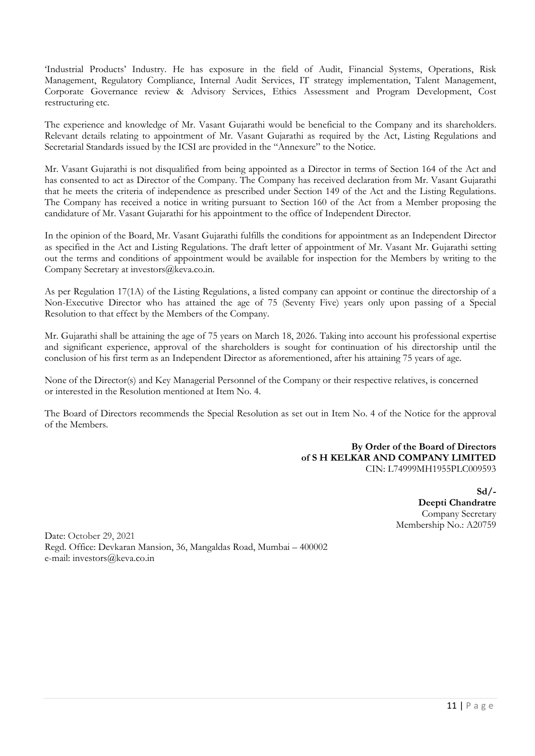'Industrial Products' Industry. He has exposure in the field of Audit, Financial Systems, Operations, Risk Management, Regulatory Compliance, Internal Audit Services, IT strategy implementation, Talent Management, Corporate Governance review & Advisory Services, Ethics Assessment and Program Development, Cost restructuring etc.

The experience and knowledge of Mr. Vasant Gujarathi would be beneficial to the Company and its shareholders. Relevant details relating to appointment of Mr. Vasant Gujarathi as required by the Act, Listing Regulations and Secretarial Standards issued by the ICSI are provided in the "Annexure" to the Notice.

Mr. Vasant Gujarathi is not disqualified from being appointed as a Director in terms of Section 164 of the Act and has consented to act as Director of the Company. The Company has received declaration from Mr. Vasant Gujarathi that he meets the criteria of independence as prescribed under Section 149 of the Act and the Listing Regulations. The Company has received a notice in writing pursuant to Section 160 of the Act from a Member proposing the candidature of Mr. Vasant Gujarathi for his appointment to the office of Independent Director.

In the opinion of the Board, Mr. Vasant Gujarathi fulfills the conditions for appointment as an Independent Director as specified in the Act and Listing Regulations. The draft letter of appointment of Mr. Vasant Mr. Gujarathi setting out the terms and conditions of appointment would be available for inspection for the Members by writing to the Company Secretary at investors@keva.co.in.

As per Regulation 17(1A) of the Listing Regulations, a listed company can appoint or continue the directorship of a Non-Executive Director who has attained the age of 75 (Seventy Five) years only upon passing of a Special Resolution to that effect by the Members of the Company.

Mr. Gujarathi shall be attaining the age of 75 years on March 18, 2026. Taking into account his professional expertise and significant experience, approval of the shareholders is sought for continuation of his directorship until the conclusion of his first term as an Independent Director as aforementioned, after his attaining 75 years of age.

None of the Director(s) and Key Managerial Personnel of the Company or their respective relatives, is concerned or interested in the Resolution mentioned at Item No. 4.

The Board of Directors recommends the Special Resolution as set out in Item No. 4 of the Notice for the approval of the Members.

> By Order of the Board of Directors of S H KELKAR AND COMPANY LIMITED CIN: L74999MH1955PLC009593

> > $Sd$  /-Deepti Chandratre Company Secretary Membership No.: A20759

Date: October 29, 2021 Regd. Office: Devkaran Mansion, 36, Mangaldas Road, Mumbai – 400002 e-mail: investors@keva.co.in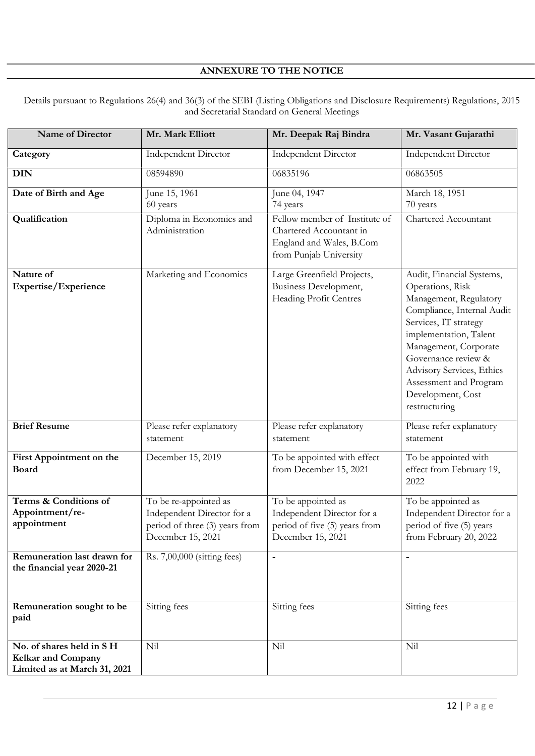# ANNEXURE TO THE NOTICE

Details pursuant to Regulations 26(4) and 36(3) of the SEBI (Listing Obligations and Disclosure Requirements) Regulations, 2015 and Secretarial Standard on General Meetings

| Name of Director                                                                      | Mr. Mark Elliott                                                                                           | Mr. Deepak Raj Bindra                                                                                          | Mr. Vasant Gujarathi                                                                                                                                                                                                                                                                                  |
|---------------------------------------------------------------------------------------|------------------------------------------------------------------------------------------------------------|----------------------------------------------------------------------------------------------------------------|-------------------------------------------------------------------------------------------------------------------------------------------------------------------------------------------------------------------------------------------------------------------------------------------------------|
| Category                                                                              | <b>Independent Director</b>                                                                                | <b>Independent Director</b>                                                                                    | <b>Independent Director</b>                                                                                                                                                                                                                                                                           |
| <b>DIN</b>                                                                            | 08594890                                                                                                   | 06835196                                                                                                       | 06863505                                                                                                                                                                                                                                                                                              |
| Date of Birth and Age                                                                 | June 15, 1961<br>60 years                                                                                  | June 04, 1947<br>74 years                                                                                      | March 18, 1951<br>70 years                                                                                                                                                                                                                                                                            |
| Qualification                                                                         | Diploma in Economics and<br>Administration                                                                 | Fellow member of Institute of<br>Chartered Accountant in<br>England and Wales, B.Com<br>from Punjab University | Chartered Accountant                                                                                                                                                                                                                                                                                  |
| Nature of<br>Expertise/Experience                                                     | Marketing and Economics                                                                                    | Large Greenfield Projects,<br>Business Development,<br>Heading Profit Centres                                  | Audit, Financial Systems,<br>Operations, Risk<br>Management, Regulatory<br>Compliance, Internal Audit<br>Services, IT strategy<br>implementation, Talent<br>Management, Corporate<br>Governance review &<br>Advisory Services, Ethics<br>Assessment and Program<br>Development, Cost<br>restructuring |
| <b>Brief Resume</b>                                                                   | Please refer explanatory<br>statement                                                                      | Please refer explanatory<br>statement                                                                          | Please refer explanatory<br>statement                                                                                                                                                                                                                                                                 |
| First Appointment on the<br><b>Board</b>                                              | December 15, 2019                                                                                          | To be appointed with effect<br>from December 15, 2021                                                          | To be appointed with<br>effect from February 19,<br>2022                                                                                                                                                                                                                                              |
| Terms & Conditions of<br>Appointment/re-<br>appointment                               | To be re-appointed as<br>Independent Director for a<br>period of three (3) years from<br>December 15, 2021 | To be appointed as<br>Independent Director for a<br>period of five (5) years from<br>December 15, 2021         | To be appointed as<br>Independent Director for a<br>period of five (5) years<br>from February 20, 2022                                                                                                                                                                                                |
| Remuneration last drawn for<br>the financial year 2020-21                             | Rs. 7,00,000 (sitting fees)                                                                                | $\overline{a}$                                                                                                 | $\overline{\phantom{a}}$                                                                                                                                                                                                                                                                              |
| Remuneration sought to be<br>paid                                                     | Sitting fees                                                                                               | Sitting fees                                                                                                   | Sitting fees                                                                                                                                                                                                                                                                                          |
| No. of shares held in SH<br><b>Kelkar and Company</b><br>Limited as at March 31, 2021 | Nil                                                                                                        | Nil                                                                                                            | Nil                                                                                                                                                                                                                                                                                                   |